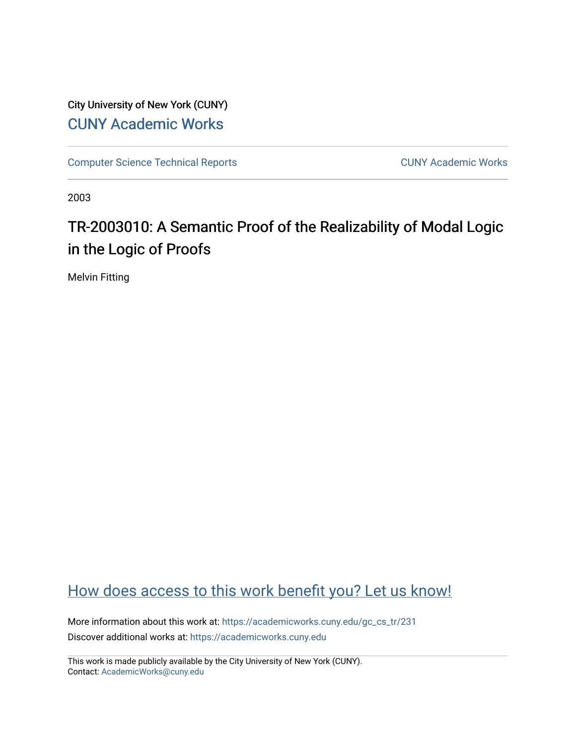City University of New York (CUNY) [CUNY Academic Works](https://academicworks.cuny.edu/) 

[Computer Science Technical Reports](https://academicworks.cuny.edu/gc_cs_tr) **CUNY Academic Works** CUNY Academic Works

2003

# TR-2003010: A Semantic Proof of the Realizability of Modal Logic in the Logic of Proofs

Melvin Fitting

## [How does access to this work benefit you? Let us know!](http://ols.cuny.edu/academicworks/?ref=https://academicworks.cuny.edu/gc_cs_tr/231)

More information about this work at: [https://academicworks.cuny.edu/gc\\_cs\\_tr/231](https://academicworks.cuny.edu/gc_cs_tr/231)  Discover additional works at: [https://academicworks.cuny.edu](https://academicworks.cuny.edu/?)

This work is made publicly available by the City University of New York (CUNY). Contact: [AcademicWorks@cuny.edu](mailto:AcademicWorks@cuny.edu)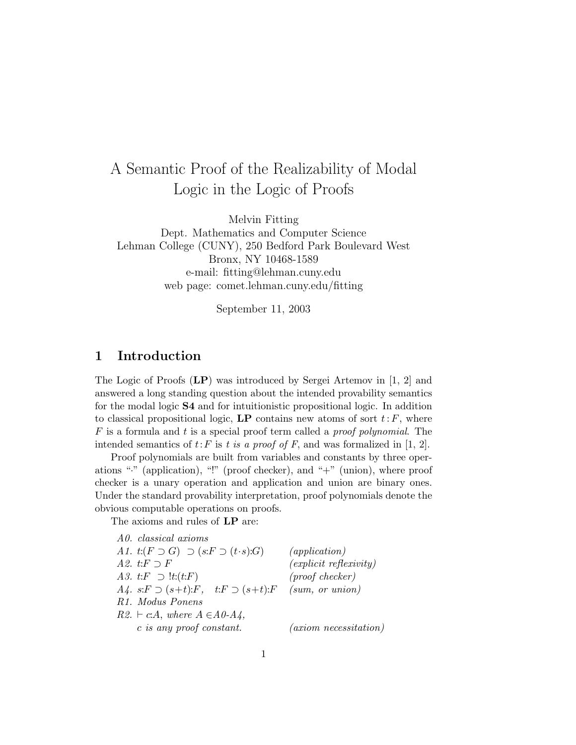## A Semantic Proof of the Realizability of Modal Logic in the Logic of Proofs

Melvin Fitting

Dept. Mathematics and Computer Science Lehman College (CUNY), 250 Bedford Park Boulevard West Bronx, NY 10468-1589 e-mail: fitting@lehman.cuny.edu web page: comet.lehman.cuny.edu/fitting

September 11, 2003

## 1 Introduction

The Logic of Proofs (LP) was introduced by Sergei Artemov in [1, 2] and answered a long standing question about the intended provability semantics for the modal logic S4 and for intuitionistic propositional logic. In addition to classical propositional logic,  $\mathbf{LP}$  contains new atoms of sort  $t: F$ , where  $F$  is a formula and t is a special proof term called a proof polynomial. The intended semantics of  $t$ : F is t is a proof of F, and was formalized in [1, 2].

Proof polynomials are built from variables and constants by three operations "·" (application), "!" (proof checker), and "+" (union), where proof checker is a unary operation and application and union are binary ones. Under the standard provability interpretation, proof polynomials denote the obvious computable operations on proofs.

The axioms and rules of LP are:

| A0. classical axioms                                                    |                             |
|-------------------------------------------------------------------------|-----------------------------|
| A1. $t:(F\supset G)\supset (s:F\supset (t\cdot s):G)$                   | (application)               |
| A2. t: $F \supset F$                                                    | $(explicit \; reflexivity)$ |
| A3. t: $F \supset$ !t: $(t: F)$                                         | $(proof checker)$           |
| $A_4$ . s: $F \supset (s+t):F$ , $t: F \supset (s+t):F$ (sum, or union) |                             |
| R <sub>1</sub> . Modus Ponens                                           |                             |
| $R2. \vdash c.A$ , where $A \in A0-A4$ ,                                |                             |
| c is any proof constant.                                                | $(axiom\ necessitation)$    |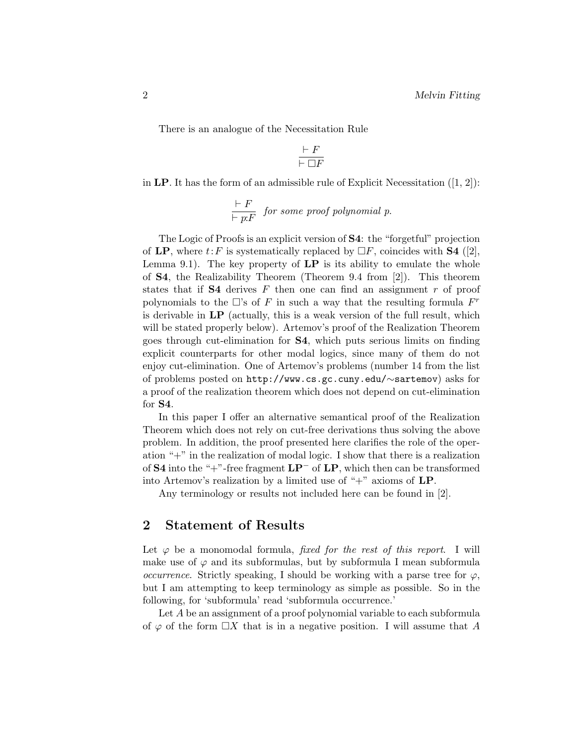There is an analogue of the Necessitation Rule

$$
\frac{\vdash F}{\vdash \Box F}
$$

in LP. It has the form of an admissible rule of Explicit Necessitation  $([1, 2])$ :

$$
\frac{\vdash F}{\vdash p:F}
$$
 for some proof polynomial p.

The Logic of Proofs is an explicit version of S4: the "forgetful" projection of LP, where  $t: F$  is systematically replaced by  $\Box F$ , coincides with **S4** ([2], Lemma 9.1). The key property of  $LP$  is its ability to emulate the whole of S4, the Realizability Theorem (Theorem 9.4 from [2]). This theorem states that if  $S4$  derives F then one can find an assignment r of proof polynomials to the  $\Box$ 's of F in such a way that the resulting formula  $F^r$ is derivable in LP (actually, this is a weak version of the full result, which will be stated properly below). Artemov's proof of the Realization Theorem goes through cut-elimination for S4, which puts serious limits on finding explicit counterparts for other modal logics, since many of them do not enjoy cut-elimination. One of Artemov's problems (number 14 from the list of problems posted on http://www.cs.gc.cuny.edu/∼sartemov) asks for a proof of the realization theorem which does not depend on cut-elimination for S4.

In this paper I offer an alternative semantical proof of the Realization Theorem which does not rely on cut-free derivations thus solving the above problem. In addition, the proof presented here clarifies the role of the operation "+" in the realization of modal logic. I show that there is a realization of S4 into the "+"-free fragment  $\mathbf{LP}^-$  of  $\mathbf{LP}$ , which then can be transformed into Artemov's realization by a limited use of "+" axioms of LP.

Any terminology or results not included here can be found in [2].

#### 2 Statement of Results

Let  $\varphi$  be a monomodal formula, *fixed for the rest of this report*. I will make use of  $\varphi$  and its subformulas, but by subformula I mean subformula *occurrence*. Strictly speaking, I should be working with a parse tree for  $\varphi$ , but I am attempting to keep terminology as simple as possible. So in the following, for 'subformula' read 'subformula occurrence.'

Let A be an assignment of a proof polynomial variable to each subformula of  $\varphi$  of the form  $\Box X$  that is in a negative position. I will assume that A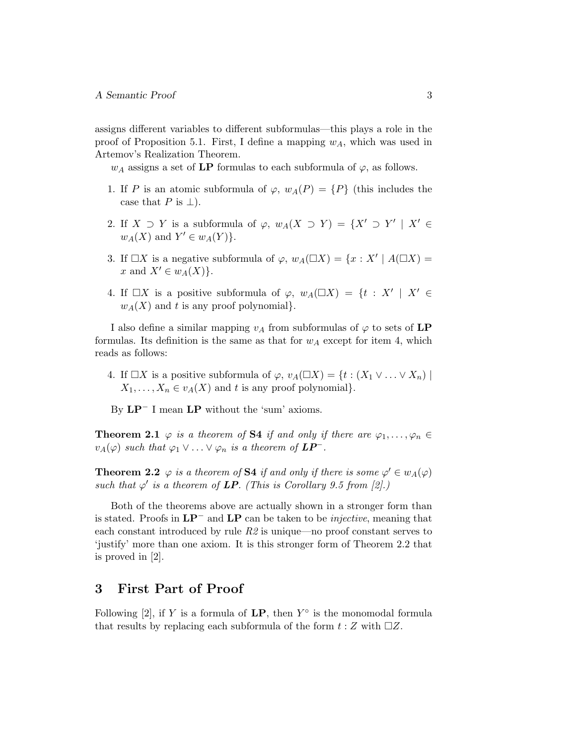assigns different variables to different subformulas—this plays a role in the proof of Proposition 5.1. First, I define a mapping  $w<sub>A</sub>$ , which was used in Artemov's Realization Theorem.

 $w_A$  assigns a set of LP formulas to each subformula of  $\varphi$ , as follows.

- 1. If P is an atomic subformula of  $\varphi$ ,  $w_A(P) = \{P\}$  (this includes the case that  $P$  is  $\perp$ ).
- 2. If  $X \supset Y$  is a subformula of  $\varphi$ ,  $w_A(X \supset Y) = \{X' \supset Y' \mid X' \in$  $w_A(X)$  and  $Y' \in w_A(Y)$ .
- 3. If  $\Box X$  is a negative subformula of  $\varphi$ ,  $w_A(\Box X) = \{x : X' \mid A(\Box X) =$ x and  $X' \in w_A(X)$ .
- 4. If  $\Box X$  is a positive subformula of  $\varphi$ ,  $w_A(\Box X) = \{t : X' | X' \in$  $w<sub>A</sub>(X)$  and t is any proof polynomial.

I also define a similar mapping  $v_A$  from subformulas of  $\varphi$  to sets of LP formulas. Its definition is the same as that for  $w_A$  except for item 4, which reads as follows:

- 4. If  $\Box X$  is a positive subformula of  $\varphi$ ,  $v_A(\Box X) = \{t : (X_1 \vee \ldots \vee X_n) \mid$  $X_1, \ldots, X_n \in v_A(X)$  and t is any proof polynomial.
- By LP<sup>−</sup> I mean LP without the 'sum' axioms.

**Theorem 2.1**  $\varphi$  is a theorem of **S4** if and only if there are  $\varphi_1, \ldots, \varphi_n \in$  $v_A(\varphi)$  such that  $\varphi_1 \vee \ldots \vee \varphi_n$  is a theorem of  $\mathbf{LP}^-$ .

**Theorem 2.2**  $\varphi$  is a theorem of **S4** if and only if there is some  $\varphi' \in w_A(\varphi)$ such that  $\varphi'$  is a theorem of **LP**. (This is Corollary 9.5 from [2].)

Both of the theorems above are actually shown in a stronger form than is stated. Proofs in  $\mathbf{LP}^-$  and  $\mathbf{LP}$  can be taken to be *injective*, meaning that each constant introduced by rule  $R\hat{z}$  is unique—no proof constant serves to 'justify' more than one axiom. It is this stronger form of Theorem 2.2 that is proved in [2].

### 3 First Part of Proof

Following [2], if Y is a formula of  $LP$ , then  $Y^{\circ}$  is the monomodal formula that results by replacing each subformula of the form  $t : Z$  with  $\Box Z$ .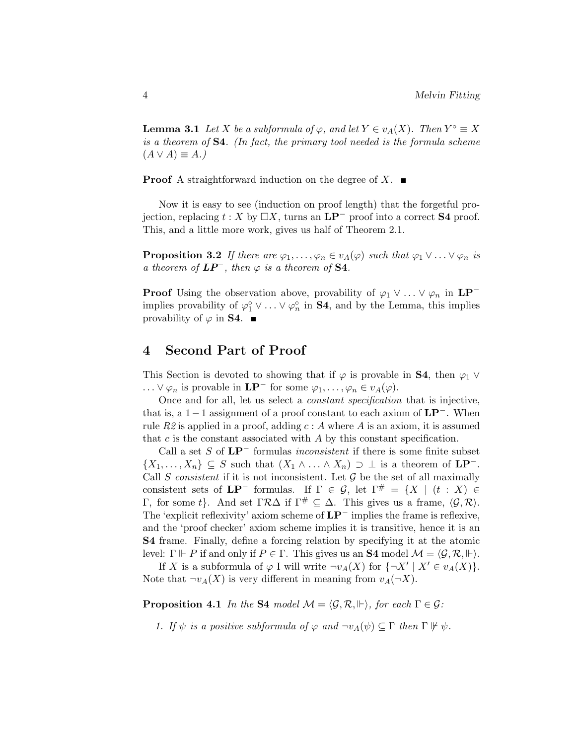**Lemma 3.1** Let X be a subformula of  $\varphi$ , and let  $Y \in v_A(X)$ . Then  $Y^{\circ} \equiv X$ is a theorem of S4. (In fact, the primary tool needed is the formula scheme  $(A \vee A) \equiv A.$ 

**Proof** A straightforward induction on the degree of X.  $\blacksquare$ 

Now it is easy to see (induction on proof length) that the forgetful projection, replacing  $t : X$  by  $\Box X$ , turns an  $\mathbf{LP}^-$  proof into a correct **S4** proof. This, and a little more work, gives us half of Theorem 2.1.

**Proposition 3.2** If there are  $\varphi_1, \ldots, \varphi_n \in v_A(\varphi)$  such that  $\varphi_1 \vee \ldots \vee \varphi_n$  is a theorem of  $LP^-$ , then  $\varphi$  is a theorem of S4.

**Proof** Using the observation above, provability of  $\varphi_1 \vee \ldots \vee \varphi_n$  in  $\mathbf{LP}^$ implies provability of  $\varphi_1^{\circ} \vee \ldots \vee \varphi_n^{\circ}$  in **S4**, and by the Lemma, this implies provability of  $\varphi$  in **S4**.  $\blacksquare$ 

## 4 Second Part of Proof

This Section is devoted to showing that if  $\varphi$  is provable in **S4**, then  $\varphi_1 \vee$ ... ∨  $\varphi_n$  is provable in  $\mathbf{LP}^-$  for some  $\varphi_1, \ldots, \varphi_n \in v_A(\varphi)$ .

Once and for all, let us select a constant specification that is injective, that is, a  $1-1$  assignment of a proof constant to each axiom of  $LP^-$ . When rule R2 is applied in a proof, adding  $c : A$  where A is an axiom, it is assumed that  $c$  is the constant associated with  $A$  by this constant specification.

Call a set S of  $LP^-$  formulas *inconsistent* if there is some finite subset  $\{X_1, \ldots, X_n\} \subseteq S$  such that  $(X_1 \wedge \ldots \wedge X_n) \supset \bot$  is a theorem of  $\mathbf{LP}^-$ . Call S consistent if it is not inconsistent. Let  $\mathcal G$  be the set of all maximally consistent sets of  $LP^-$  formulas. If  $\Gamma \in \mathcal{G}$ , let  $\Gamma^{\#} = \{X \mid (t : X) \in$ Γ, for some t}. And set Γ $\mathcal{R}\Delta$  if Γ<sup>#</sup> ⊂  $\Delta$ . This gives us a frame,  $\langle \mathcal{G}, \mathcal{R} \rangle$ . The 'explicit reflexivity' axiom scheme of LP<sup>−</sup> implies the frame is reflexive, and the 'proof checker' axiom scheme implies it is transitive, hence it is an S4 frame. Finally, define a forcing relation by specifying it at the atomic level:  $\Gamma \Vdash P$  if and only if  $P \in \Gamma$ . This gives us an **S4** model  $\mathcal{M} = \langle \mathcal{G}, \mathcal{R}, \Vdash \rangle$ .

If X is a subformula of  $\varphi$  I will write  $\neg v_A(X)$  for  $\{\neg X' \mid X' \in v_A(X)\}.$ Note that  $\neg v_A(X)$  is very different in meaning from  $v_A(\neg X)$ .

**Proposition 4.1** In the **S4** model  $M = \langle \mathcal{G}, \mathcal{R}, \Vdash \rangle$ , for each  $\Gamma \in \mathcal{G}$ :

1. If  $\psi$  is a positive subformula of  $\varphi$  and  $\neg v_A(\psi) \subseteq \Gamma$  then  $\Gamma \nvDash \psi$ .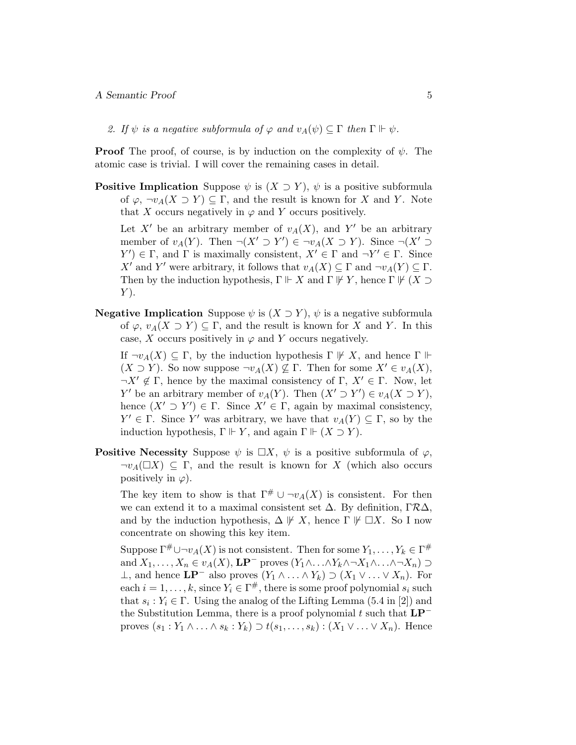2. If  $\psi$  is a negative subformula of  $\varphi$  and  $v_A(\psi) \subseteq \Gamma$  then  $\Gamma \Vdash \psi$ .

**Proof** The proof, of course, is by induction on the complexity of  $\psi$ . The atomic case is trivial. I will cover the remaining cases in detail.

**Positive Implication** Suppose  $\psi$  is  $(X \supset Y)$ ,  $\psi$  is a positive subformula of  $\varphi$ ,  $\neg v_A(X \supset Y) \subseteq \Gamma$ , and the result is known for X and Y. Note that X occurs negatively in  $\varphi$  and Y occurs positively.

Let X' be an arbitrary member of  $v_A(X)$ , and Y' be an arbitrary member of  $v_A(Y)$ . Then  $\neg(X' \supset Y') \in \neg v_A(X \supset Y)$ . Since  $\neg(X' \supset Y)$  $Y' \in \Gamma$ , and  $\Gamma$  is maximally consistent,  $X' \in \Gamma$  and  $\neg Y' \in \Gamma$ . Since X' and Y' were arbitrary, it follows that  $v_A(X) \subseteq \Gamma$  and  $\neg v_A(Y) \subseteq \Gamma$ . Then by the induction hypothesis,  $\Gamma \Vdash X$  and  $\Gamma \not\Vdash Y$ , hence  $\Gamma \not\Vdash (X \supset$  $Y$ ).

**Negative Implication** Suppose  $\psi$  is  $(X \supset Y)$ ,  $\psi$  is a negative subformula of  $\varphi$ ,  $v_A(X \supset Y) \subseteq \Gamma$ , and the result is known for X and Y. In this case, X occurs positively in  $\varphi$  and Y occurs negatively.

If  $\neg v_A(X) \subseteq \Gamma$ , by the induction hypothesis  $\Gamma \not\Vdash X$ , and hence  $\Gamma \Vdash$  $(X \supset Y)$ . So now suppose  $\neg v_A(X) \nsubseteq \Gamma$ . Then for some  $X' \in v_A(X)$ ,  $\neg X' \notin \Gamma$ , hence by the maximal consistency of  $\Gamma$ ,  $X' \in \Gamma$ . Now, let Y' be an arbitrary member of  $v_A(Y)$ . Then  $(X' \supset Y') \in v_A(X \supset Y)$ , hence  $(X' \supset Y') \in \Gamma$ . Since  $X' \in \Gamma$ , again by maximal consistency,  $Y' \in \Gamma$ . Since Y' was arbitrary, we have that  $v_A(Y) \subseteq \Gamma$ , so by the induction hypothesis,  $\Gamma \Vdash Y$ , and again  $\Gamma \Vdash (X \supset Y)$ .

**Positive Necessity** Suppose  $\psi$  is  $\Box X$ ,  $\psi$  is a positive subformula of  $\varphi$ ,  $\neg v_A(\Box X) \subseteq \Gamma$ , and the result is known for X (which also occurs positively in  $\varphi$ ).

The key item to show is that  $\Gamma^{\#} \cup \neg v_A(X)$  is consistent. For then we can extend it to a maximal consistent set  $\Delta$ . By definition,  $\Gamma \mathcal{R} \Delta$ , and by the induction hypothesis,  $\Delta \not\vdash X$ , hence  $\Gamma \not\vdash \Box X$ . So I now concentrate on showing this key item.

Suppose  $\Gamma^{\#} \cup \neg v_A(X)$  is not consistent. Then for some  $Y_1, \ldots, Y_k \in \Gamma^{\#}$ and  $X_1, \ldots, X_n \in v_A(X)$ ,  $\mathbf{LP}^-$  proves  $(Y_1 \wedge \ldots \wedge Y_k \wedge \neg X_1 \wedge \ldots \wedge \neg X_n) \supset$ ⊥, and hence  $\mathbf{LP}^-$  also proves  $(Y_1 \land \ldots \land Y_k) \supset (X_1 \lor \ldots \lor X_n)$ . For each  $i = 1, ..., k$ , since  $Y_i \in \Gamma^{\#}$ , there is some proof polynomial  $s_i$  such that  $s_i: Y_i \in \Gamma$ . Using the analog of the Lifting Lemma (5.4 in [2]) and the Substitution Lemma, there is a proof polynomial t such that  $LP^$ proves  $(s_1: Y_1 \wedge \ldots \wedge s_k: Y_k) \supset t(s_1, \ldots, s_k): (X_1 \vee \ldots \vee X_n)$ . Hence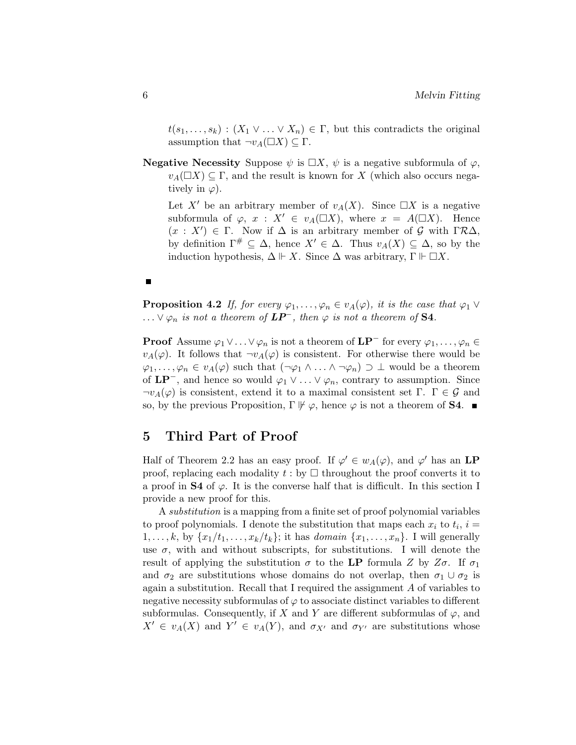$t(s_1, \ldots, s_k) : (X_1 \vee \ldots \vee X_n) \in \Gamma$ , but this contradicts the original assumption that  $\neg v_A(\Box X) \subseteq \Gamma$ .

**Negative Necessity** Suppose  $\psi$  is  $\Box X$ ,  $\psi$  is a negative subformula of  $\varphi$ ,  $v_A(\Box X) \subseteq \Gamma$ , and the result is known for X (which also occurs negatively in  $\varphi$ ).

Let X' be an arbitrary member of  $v_A(X)$ . Since  $\Box X$  is a negative subformula of  $\varphi$ ,  $x : X' \in v_A(\square X)$ , where  $x = A(\square X)$ . Hence  $(x : X') \in \Gamma$ . Now if  $\Delta$  is an arbitrary member of G with  $\Gamma \mathcal{R} \Delta$ , by definition  $\Gamma^{\#} \subseteq \Delta$ , hence  $X' \in \Delta$ . Thus  $v_A(X) \subseteq \Delta$ , so by the induction hypothesis,  $\Delta \Vdash X$ . Since  $\Delta$  was arbitrary,  $\Gamma \Vdash \Box X$ .

Е

**Proposition 4.2** If, for every  $\varphi_1, \ldots, \varphi_n \in v_A(\varphi)$ , it is the case that  $\varphi_1 \vee$ ...  $\lor \varphi_n$  is not a theorem of  $\mathbf{LP}^-$ , then  $\varphi$  is not a theorem of S4.

**Proof** Assume  $\varphi_1 \vee \ldots \vee \varphi_n$  is not a theorem of  $\mathbf{LP}^-$  for every  $\varphi_1, \ldots, \varphi_n \in$  $v_A(\varphi)$ . It follows that  $\neg v_A(\varphi)$  is consistent. For otherwise there would be  $\varphi_1,\ldots,\varphi_n\in v_A(\varphi)$  such that  $(\neg\varphi_1\wedge\ldots\wedge\neg\varphi_n)\supset\bot$  would be a theorem of  $\mathbf{LP}^-$ , and hence so would  $\varphi_1 \vee \ldots \vee \varphi_n$ , contrary to assumption. Since  $\neg v_A(\varphi)$  is consistent, extend it to a maximal consistent set  $\Gamma$ .  $\Gamma \in \mathcal{G}$  and so, by the previous Proposition,  $\Gamma \not \Vdash \varphi$ , hence  $\varphi$  is not a theorem of **S4**.

### 5 Third Part of Proof

Half of Theorem 2.2 has an easy proof. If  $\varphi' \in w_A(\varphi)$ , and  $\varphi'$  has an LP proof, replacing each modality  $t :$  by  $\Box$  throughout the proof converts it to a proof in **S4** of  $\varphi$ . It is the converse half that is difficult. In this section I provide a new proof for this.

A substitution is a mapping from a finite set of proof polynomial variables to proof polynomials. I denote the substitution that maps each  $x_i$  to  $t_i$ ,  $i =$  $1, \ldots, k$ , by  $\{x_1/t_1, \ldots, x_k/t_k\}$ ; it has *domain*  $\{x_1, \ldots, x_n\}$ . I will generally use  $\sigma$ , with and without subscripts, for substitutions. I will denote the result of applying the substitution  $\sigma$  to the LP formula Z by  $Z\sigma$ . If  $\sigma_1$ and  $\sigma_2$  are substitutions whose domains do not overlap, then  $\sigma_1 \cup \sigma_2$  is again a substitution. Recall that I required the assignment A of variables to negative necessity subformulas of  $\varphi$  to associate distinct variables to different subformulas. Consequently, if X and Y are different subformulas of  $\varphi$ , and  $X' \in v_A(X)$  and  $Y' \in v_A(Y)$ , and  $\sigma_{X'}$  and  $\sigma_{Y'}$  are substitutions whose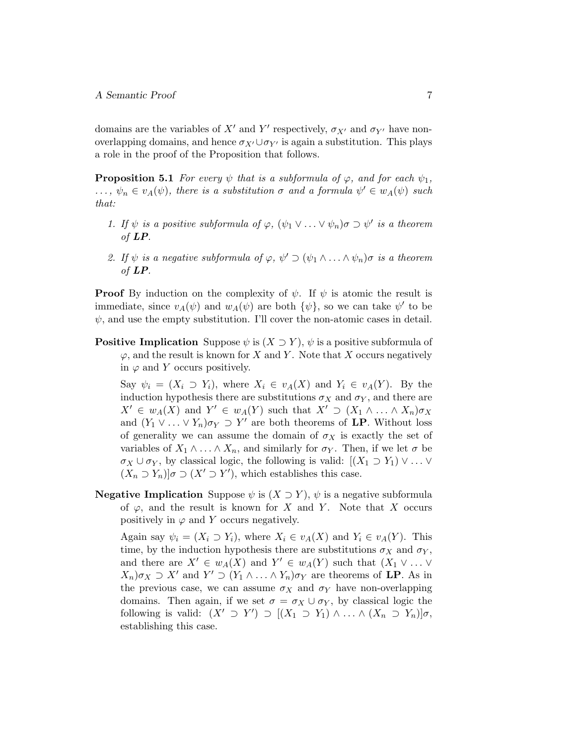domains are the variables of  $X'$  and  $Y'$  respectively,  $\sigma_{X'}$  and  $\sigma_{Y'}$  have nonoverlapping domains, and hence  $\sigma_{X'} \cup \sigma_{Y'}$  is again a substitution. This plays a role in the proof of the Proposition that follows.

**Proposition 5.1** For every  $\psi$  that is a subformula of  $\varphi$ , and for each  $\psi_1$ ,  $\ldots, \psi_n \in v_A(\psi)$ , there is a substitution  $\sigma$  and a formula  $\psi' \in w_A(\psi)$  such that:

- 1. If  $\psi$  is a positive subformula of  $\varphi$ ,  $(\psi_1 \vee \ldots \vee \psi_n) \sigma \supset \psi'$  is a theorem of LP.
- 2. If  $\psi$  is a negative subformula of  $\varphi$ ,  $\psi' \supset (\psi_1 \wedge \ldots \wedge \psi_n) \sigma$  is a theorem of LP.

**Proof** By induction on the complexity of  $\psi$ . If  $\psi$  is atomic the result is immediate, since  $v_A(\psi)$  and  $w_A(\psi)$  are both  $\{\psi\}$ , so we can take  $\psi'$  to be  $\psi$ , and use the empty substitution. I'll cover the non-atomic cases in detail.

**Positive Implication** Suppose  $\psi$  is  $(X \supset Y)$ ,  $\psi$  is a positive subformula of  $\varphi$ , and the result is known for X and Y. Note that X occurs negatively in  $\varphi$  and Y occurs positively.

Say  $\psi_i = (X_i \supset Y_i)$ , where  $X_i \in v_A(X)$  and  $Y_i \in v_A(Y)$ . By the induction hypothesis there are substitutions  $\sigma_X$  and  $\sigma_Y$ , and there are  $X' \in w_A(X)$  and  $Y' \in w_A(Y)$  such that  $X' \supset (X_1 \wedge \ldots \wedge X_n) \sigma_X$ and  $(Y_1 \vee \ldots \vee Y_n)\sigma_Y \supset Y'$  are both theorems of LP. Without loss of generality we can assume the domain of  $\sigma_X$  is exactly the set of variables of  $X_1 \wedge \ldots \wedge X_n$ , and similarly for  $\sigma_Y$ . Then, if we let  $\sigma$  be  $\sigma_X \cup \sigma_Y$ , by classical logic, the following is valid:  $[(X_1 \supset Y_1) \vee \ldots \vee$  $(X_n \supset Y_n)$   $\sigma \supset (X' \supset Y')$ , which establishes this case.

**Negative Implication** Suppose  $\psi$  is  $(X \supset Y)$ ,  $\psi$  is a negative subformula of  $\varphi$ , and the result is known for X and Y. Note that X occurs positively in  $\varphi$  and Y occurs negatively.

Again say  $\psi_i = (X_i \supset Y_i)$ , where  $X_i \in v_A(X)$  and  $Y_i \in v_A(Y)$ . This time, by the induction hypothesis there are substitutions  $\sigma_X$  and  $\sigma_Y$ , and there are  $X' \in w_A(X)$  and  $Y' \in w_A(Y)$  such that  $(X_1 \vee \ldots \vee$  $X_n|\sigma_X \supset X'$  and  $Y' \supset (Y_1 \wedge \ldots \wedge Y_n)\sigma_Y$  are theorems of **LP**. As in the previous case, we can assume  $\sigma_X$  and  $\sigma_Y$  have non-overlapping domains. Then again, if we set  $\sigma = \sigma_X \cup \sigma_Y$ , by classical logic the following is valid:  $(X' \supset Y') \supset [(X_1 \supset Y_1) \wedge \ldots \wedge (X_n \supset Y_n)]\sigma$ , establishing this case.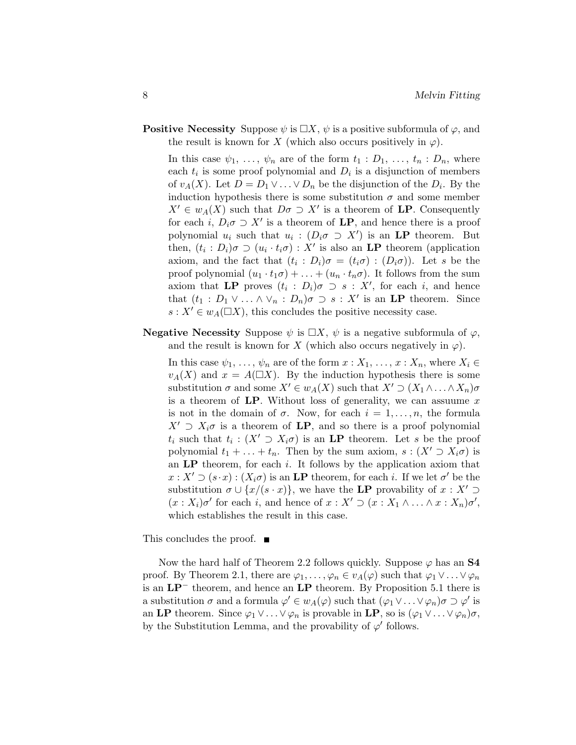**Positive Necessity** Suppose  $\psi$  is  $\Box X$ ,  $\psi$  is a positive subformula of  $\varphi$ , and the result is known for X (which also occurs positively in  $\varphi$ ).

In this case  $\psi_1, \ldots, \psi_n$  are of the form  $t_1 : D_1, \ldots, t_n : D_n$ , where each  $t_i$  is some proof polynomial and  $D_i$  is a disjunction of members of  $v_A(X)$ . Let  $D = D_1 \vee \ldots \vee D_n$  be the disjunction of the  $D_i$ . By the induction hypothesis there is some substitution  $\sigma$  and some member  $X' \in w_A(X)$  such that  $D\sigma \supset X'$  is a theorem of **LP**. Consequently for each i,  $D_i \sigma \supset X'$  is a theorem of **LP**, and hence there is a proof polynomial  $u_i$  such that  $u_i : (D_i \sigma \supset X')$  is an **LP** theorem. But then,  $(t_i : D_i)\sigma \supset (u_i \cdot t_i \sigma) : X'$  is also an **LP** theorem (application axiom, and the fact that  $(t_i : D_i)\sigma = (t_i \sigma) : (D_i \sigma)$ . Let s be the proof polynomial  $(u_1 \cdot t_1 \sigma) + \ldots + (u_n \cdot t_n \sigma)$ . It follows from the sum axiom that LP proves  $(t_i : D_i)\sigma \supset s : X'$ , for each i, and hence that  $(t_1 : D_1 \vee \ldots \wedge \vee_n : D_n)\sigma \supset s : X'$  is an **LP** theorem. Since  $s: X' \in w_A(\square X)$ , this concludes the positive necessity case.

**Negative Necessity** Suppose  $\psi$  is  $\Box X$ ,  $\psi$  is a negative subformula of  $\varphi$ , and the result is known for X (which also occurs negatively in  $\varphi$ ).

In this case  $\psi_1, \ldots, \psi_n$  are of the form  $x : X_1, \ldots, x : X_n$ , where  $X_i \in$  $v_A(X)$  and  $x = A(\square X)$ . By the induction hypothesis there is some substitution  $\sigma$  and some  $X' \in w_A(X)$  such that  $X' \supset (X_1 \wedge \ldots \wedge X_n) \sigma$ is a theorem of  $LP$ . Without loss of generality, we can assuume x is not in the domain of  $\sigma$ . Now, for each  $i = 1, \ldots, n$ , the formula  $X' \supset X_i \sigma$  is a theorem of LP, and so there is a proof polynomial  $t_i$  such that  $t_i : (X' \supset X_i \sigma)$  is an LP theorem. Let s be the proof polynomial  $t_1 + \ldots + t_n$ . Then by the sum axiom,  $s : (X' \supset X_i \sigma)$  is an  $LP$  theorem, for each i. It follows by the application axiom that  $x: X' \supset (s \cdot x) : (X_i \sigma)$  is an LP theorem, for each i. If we let  $\sigma'$  be the substitution  $\sigma \cup \{x/(s \cdot x)\}\)$ , we have the LP provability of  $x : X' \supset$  $(x : X_i)\sigma'$  for each i, and hence of  $x : X' \supset (x : X_1 \wedge \ldots \wedge x : X_n)\sigma'$ , which establishes the result in this case.

This concludes the proof. ■

Now the hard half of Theorem 2.2 follows quickly. Suppose  $\varphi$  has an S4 proof. By Theorem 2.1, there are  $\varphi_1, \ldots, \varphi_n \in v_A(\varphi)$  such that  $\varphi_1 \vee \ldots \vee \varphi_n$ is an LP<sup>−</sup> theorem, and hence an LP theorem. By Proposition 5.1 there is a substitution  $\sigma$  and a formula  $\varphi' \in w_A(\varphi)$  such that  $(\varphi_1 \vee \ldots \vee \varphi_n)\sigma \supset \varphi'$  is an LP theorem. Since  $\varphi_1 \vee \ldots \vee \varphi_n$  is provable in LP, so is  $(\varphi_1 \vee \ldots \vee \varphi_n)\sigma$ , by the Substitution Lemma, and the provability of  $\varphi'$  follows.